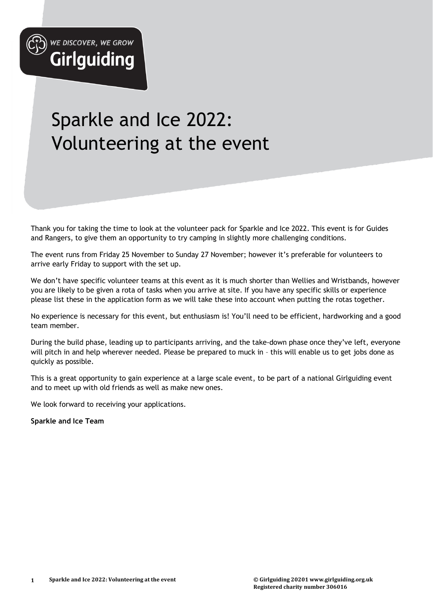

**Girlguiding** 

# Sparkle and Ice 2022: Volunteering at the event

Thank you for taking the time to look at the volunteer pack for Sparkle and Ice 2022. This event is for Guides and Rangers, to give them an opportunity to try camping in slightly more challenging conditions.

The event runs from Friday 25 November to Sunday 27 November; however it's preferable for volunteers to arrive early Friday to support with the set up.

We don't have specific volunteer teams at this event as it is much shorter than Wellies and Wristbands, however you are likely to be given a rota of tasks when you arrive at site. If you have any specific skills or experience please list these in the application form as we will take these into account when putting the rotas together.

No experience is necessary for this event, but enthusiasm is! You'll need to be efficient, hardworking and a good team member.

During the build phase, leading up to participants arriving, and the take-down phase once they've left, everyone will pitch in and help wherever needed. Please be prepared to muck in – this will enable us to get jobs done as quickly as possible.

This is a great opportunity to gain experience at a large scale event, to be part of a national Girlguiding event and to meet up with old friends as well as make new ones.

We look forward to receiving your applications.

**Sparkle and Ice Team**